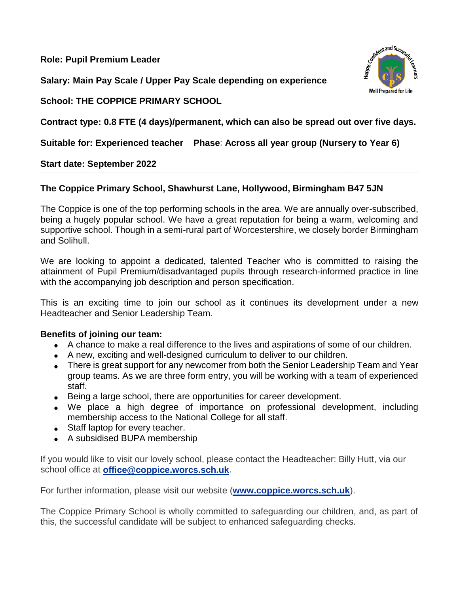**Role: Pupil Premium Leader**

**Salary: Main Pay Scale / Upper Pay Scale depending on experience**



**School: THE COPPICE PRIMARY SCHOOL**

**Contract type: 0.8 FTE (4 days)/permanent, which can also be spread out over five days.**

**Suitable for: Experienced teacher Phase**: **Across all year group (Nursery to Year 6)**

**Start date: September 2022**

## **The Coppice Primary School, Shawhurst Lane, Hollywood, Birmingham B47 5JN**

The Coppice is one of the top performing schools in the area. We are annually over-subscribed, being a hugely popular school. We have a great reputation for being a warm, welcoming and supportive school. Though in a semi-rural part of Worcestershire, we closely border Birmingham and Solihull.

We are looking to appoint a dedicated, talented Teacher who is committed to raising the attainment of Pupil Premium/disadvantaged pupils through research-informed practice in line with the accompanying job description and person specification.

This is an exciting time to join our school as it continues its development under a new Headteacher and Senior Leadership Team.

## **Benefits of joining our team:**

- A chance to make a real difference to the lives and aspirations of some of our children.
- A new, exciting and well-designed curriculum to deliver to our children.
- There is great support for any newcomer from both the Senior Leadership Team and Year group teams. As we are three form entry, you will be working with a team of experienced staff.
- Being a large school, there are opportunities for career development.
- We place a high degree of importance on professional development, including membership access to the National College for all staff.
- Staff laptop for every teacher.
- A subsidised BUPA membership

If you would like to visit our lovely school, please contact the Headteacher: Billy Hutt, via our school office at **office@coppice.worcs.sch.uk**.

For further information, please visit our website (**www.coppice.worcs.sch.uk**).

The Coppice Primary School is wholly committed to safeguarding our children, and, as part of this, the successful candidate will be subject to enhanced safeguarding checks.